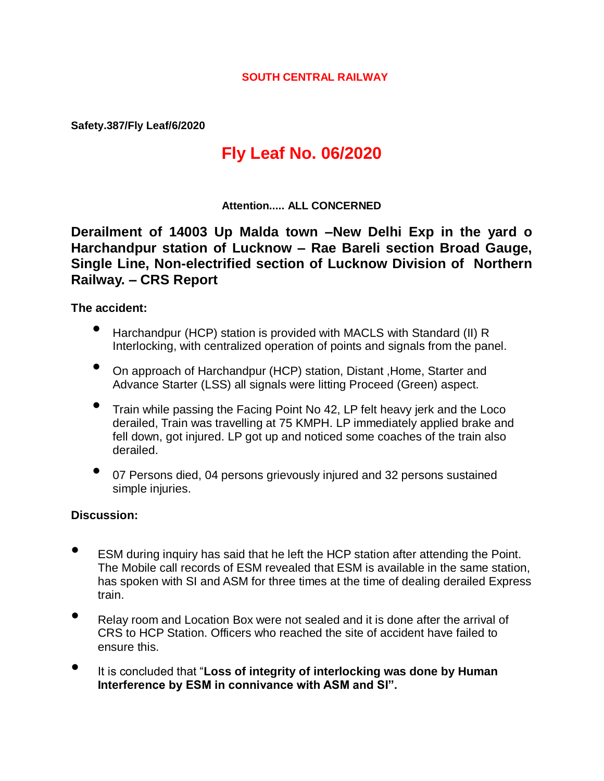#### **SOUTH CENTRAL RAILWAY**

**Safety.387/Fly Leaf/6/2020**

# **Fly Leaf No. 06/2020**

#### **Attention..... ALL CONCERNED**

**Derailment of 14003 Up Malda town –New Delhi Exp in the yard o Harchandpur station of Lucknow – Rae Bareli section Broad Gauge, Single Line, Non-electrified section of Lucknow Division of Northern Railway. – CRS Report**

#### **The accident:**

- Harchandpur (HCP) station is provided with MACLS with Standard (II) R Interlocking, with centralized operation of points and signals from the panel.
- On approach of Harchandpur (HCP) station, Distant ,Home, Starter and Advance Starter (LSS) all signals were litting Proceed (Green) aspect.
- Train while passing the Facing Point No 42, LP felt heavy jerk and the Loco derailed, Train was travelling at 75 KMPH. LP immediately applied brake and fell down, got injured. LP got up and noticed some coaches of the train also derailed.
- 07 Persons died, 04 persons grievously injured and 32 persons sustained simple injuries.

#### **Discussion:**

- ESM during inquiry has said that he left the HCP station after attending the Point. The Mobile call records of ESM revealed that ESM is available in the same station, has spoken with SI and ASM for three times at the time of dealing derailed Express train.
- Relay room and Location Box were not sealed and it is done after the arrival of CRS to HCP Station. Officers who reached the site of accident have failed to ensure this.
- It is concluded that "**Loss of integrity of interlocking was done by Human Interference by ESM in connivance with ASM and SI".**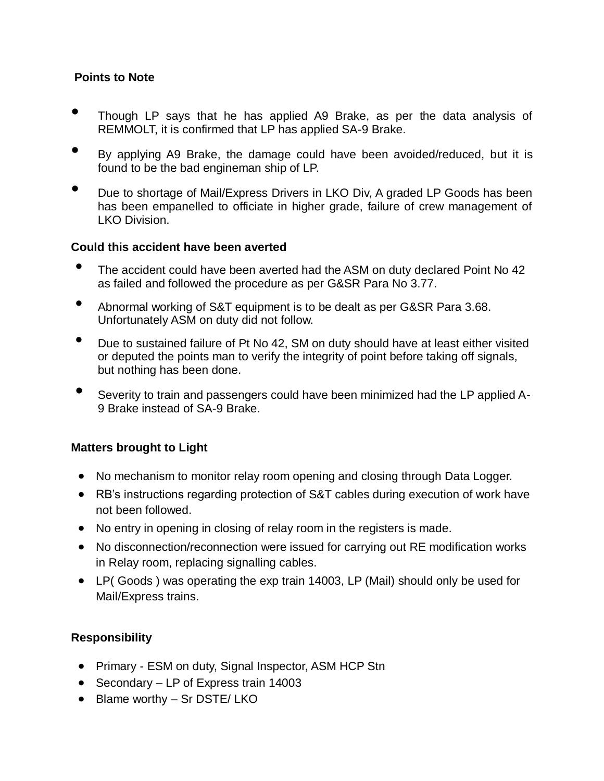# **Points to Note**

- Though LP says that he has applied A9 Brake, as per the data analysis of REMMOLT, it is confirmed that LP has applied SA-9 Brake.
- By applying A9 Brake, the damage could have been avoided/reduced, but it is found to be the bad engineman ship of LP.
- Due to shortage of Mail/Express Drivers in LKO Div, A graded LP Goods has been has been empanelled to officiate in higher grade, failure of crew management of LKO Division.

#### **Could this accident have been averted**

- The accident could have been averted had the ASM on duty declared Point No 42 as failed and followed the procedure as per G&SR Para No 3.77.
- Abnormal working of S&T equipment is to be dealt as per G&SR Para 3.68. Unfortunately ASM on duty did not follow.
- Due to sustained failure of Pt No 42, SM on duty should have at least either visited or deputed the points man to verify the integrity of point before taking off signals, but nothing has been done.
- Severity to train and passengers could have been minimized had the LP applied A-9 Brake instead of SA-9 Brake.

# **Matters brought to Light**

- No mechanism to monitor relay room opening and closing through Data Logger.
- RB's instructions regarding protection of S&T cables during execution of work have not been followed.
- No entry in opening in closing of relay room in the registers is made.
- No disconnection/reconnection were issued for carrying out RE modification works in Relay room, replacing signalling cables.
- LP( Goods ) was operating the exp train 14003, LP (Mail) should only be used for Mail/Express trains.

# **Responsibility**

- Primary ESM on duty, Signal Inspector, ASM HCP Stn
- Secondary LP of Express train 14003
- Blame worthy Sr DSTE/ LKO